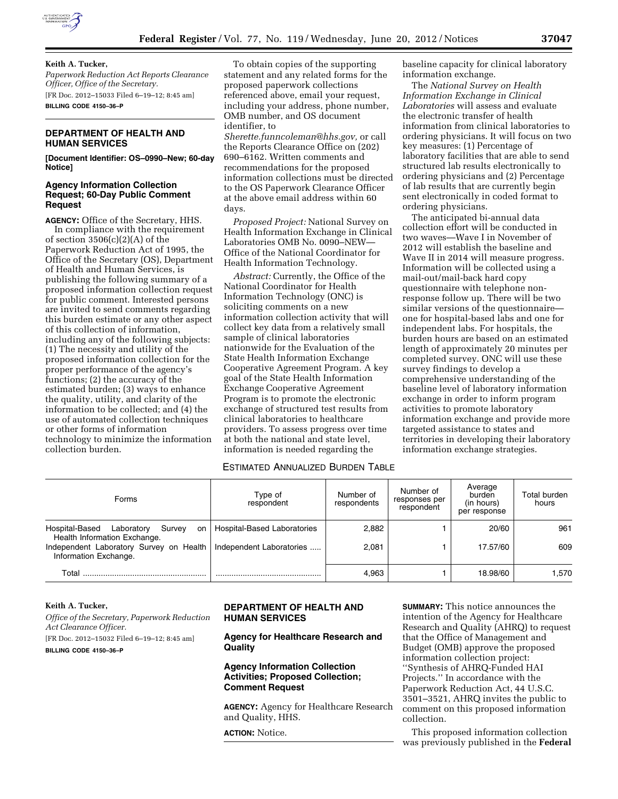

### **Keith A. Tucker,**

*Paperwork Reduction Act Reports Clearance Officer, Office of the Secretary.*  [FR Doc. 2012–15033 Filed 6–19–12; 8:45 am] **BILLING CODE 4150–36–P** 

## **DEPARTMENT OF HEALTH AND HUMAN SERVICES**

**[Document Identifier: OS–0990–New; 60-day Notice]** 

### **Agency Information Collection Request; 60-Day Public Comment Request**

**AGENCY:** Office of the Secretary, HHS. In compliance with the requirement of section  $3506(c)(2)(A)$  of the Paperwork Reduction Act of 1995, the Office of the Secretary (OS), Department of Health and Human Services, is publishing the following summary of a proposed information collection request for public comment. Interested persons are invited to send comments regarding this burden estimate or any other aspect of this collection of information, including any of the following subjects: (1) The necessity and utility of the proposed information collection for the proper performance of the agency's functions; (2) the accuracy of the estimated burden; (3) ways to enhance the quality, utility, and clarity of the information to be collected; and (4) the use of automated collection techniques or other forms of information technology to minimize the information collection burden.

To obtain copies of the supporting statement and any related forms for the proposed paperwork collections referenced above, email your request, including your address, phone number, OMB number, and OS document identifier, to

*[Sherette.funncoleman@hhs.gov,](mailto:Sherette.funncoleman@hhs.gov)* or call the Reports Clearance Office on (202) 690–6162. Written comments and recommendations for the proposed information collections must be directed to the OS Paperwork Clearance Officer at the above email address within 60 days.

*Proposed Project:* National Survey on Health Information Exchange in Clinical Laboratories OMB No. 0090–NEW— Office of the National Coordinator for Health Information Technology.

*Abstract:* Currently, the Office of the National Coordinator for Health Information Technology (ONC) is soliciting comments on a new information collection activity that will collect key data from a relatively small sample of clinical laboratories nationwide for the Evaluation of the State Health Information Exchange Cooperative Agreement Program. A key goal of the State Health Information Exchange Cooperative Agreement Program is to promote the electronic exchange of structured test results from clinical laboratories to healthcare providers. To assess progress over time at both the national and state level, information is needed regarding the

baseline capacity for clinical laboratory information exchange.

The *National Survey on Health Information Exchange in Clinical Laboratories* will assess and evaluate the electronic transfer of health information from clinical laboratories to ordering physicians. It will focus on two key measures: (1) Percentage of laboratory facilities that are able to send structured lab results electronically to ordering physicians and (2) Percentage of lab results that are currently begin sent electronically in coded format to ordering physicians.

The anticipated bi-annual data collection effort will be conducted in two waves—Wave I in November of 2012 will establish the baseline and Wave II in 2014 will measure progress. Information will be collected using a mail-out/mail-back hard copy questionnaire with telephone nonresponse follow up. There will be two similar versions of the questionnaire one for hospital-based labs and one for independent labs. For hospitals, the burden hours are based on an estimated length of approximately 20 minutes per completed survey. ONC will use these survey findings to develop a comprehensive understanding of the baseline level of laboratory information exchange in order to inform program activities to promote laboratory information exchange and provide more targeted assistance to states and territories in developing their laboratory information exchange strategies.

## ESTIMATED ANNUALIZED BURDEN TABLE

| Forms                                                                        | Type of<br>respondent              | Number of<br>respondents | Number of<br>responses per<br>respondent | Average<br>burden<br>(in hours)<br>per response | Total burden<br>hours |
|------------------------------------------------------------------------------|------------------------------------|--------------------------|------------------------------------------|-------------------------------------------------|-----------------------|
| Laboratory<br>Hospital-Based<br>Survey<br>on<br>Health Information Exchange. | <b>Hospital-Based Laboratories</b> | 2,882                    |                                          | 20/60                                           | 961                   |
| Independent Laboratory Survey on Health<br>Information Exchange.             | Independent Laboratories           | 2.081                    |                                          | 17.57/60                                        | 609                   |
| Total                                                                        |                                    | 4,963                    |                                          | 18.98/60                                        | 1.570                 |

# **Keith A. Tucker,**

*Office of the Secretary, Paperwork Reduction Act Clearance Officer.*  [FR Doc. 2012–15032 Filed 6–19–12; 8:45 am]

**BILLING CODE 4150–36–P** 

## **DEPARTMENT OF HEALTH AND HUMAN SERVICES**

**Agency for Healthcare Research and Quality** 

## **Agency Information Collection Activities; Proposed Collection; Comment Request**

**AGENCY:** Agency for Healthcare Research and Quality, HHS.

**ACTION:** Notice.

**SUMMARY:** This notice announces the intention of the Agency for Healthcare Research and Quality (AHRQ) to request that the Office of Management and Budget (OMB) approve the proposed information collection project: ''Synthesis of AHRQ-Funded HAI Projects.'' In accordance with the Paperwork Reduction Act, 44 U.S.C. 3501–3521, AHRQ invites the public to comment on this proposed information collection.

This proposed information collection was previously published in the **Federal**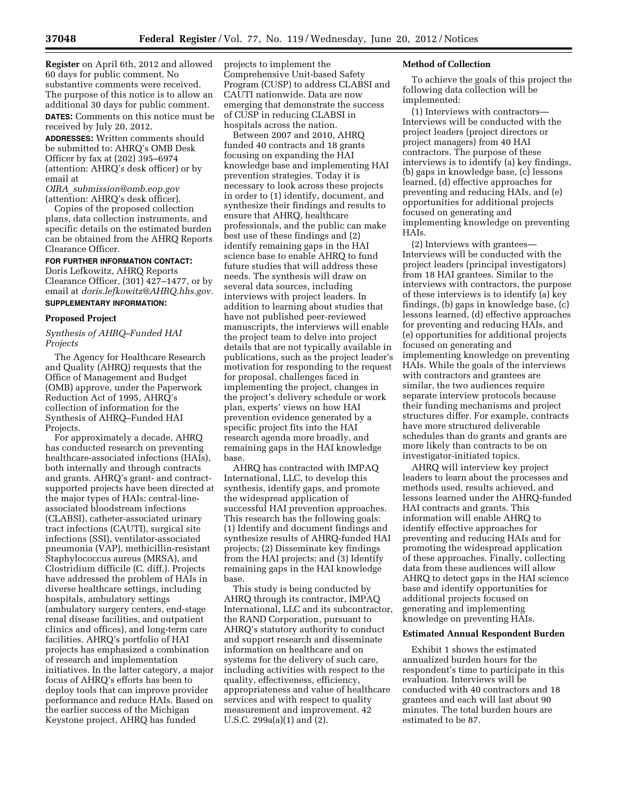**Register** on April 6th, 2012 and allowed 60 days for public comment. No substantive comments were received. The purpose of this notice is to allow an additional 30 days for public comment. **DATES:** Comments on this notice must be received by July 20, 2012.

**ADDRESSES:** Written comments should be submitted to: AHRQ's OMB Desk Officer by fax at (202) 395–6974 (attention: AHRQ's desk officer) or by email at

*OIRA*\_*[submission@omb.eop.gov](mailto:OIRA_submission@omb.eop.gov)*  (attention: AHRQ's desk officer).

Copies of the proposed collection plans, data collection instruments, and specific details on the estimated burden can be obtained from the AHRQ Reports Clearance Officer.

# **FOR FURTHER INFORMATION CONTACT:**

Doris Lefkowitz, AHRQ Reports Clearance Officer, (301) 427–1477, or by email at *[doris.lefkowitz@AHRQ.hhs.gov.](mailto:doris.lefkowitz@AHRQ.hhs.gov)*  **SUPPLEMENTARY INFORMATION:** 

#### **Proposed Project**

### *Synthesis of AHRQ–Funded HAI Projects*

The Agency for Healthcare Research and Quality (AHRQ) requests that the Office of Management and Budget (OMB) approve, under the Paperwork Reduction Act of 1995, AHRQ's collection of information for the Synthesis of AHRQ–Funded HAI Projects.

For approximately a decade, AHRQ has conducted research on preventing healthcare-associated infections (HAIs), both internally and through contracts and grants. AHRQ's grant- and contractsupported projects have been directed at the major types of HAIs: central-lineassociated bloodstream infections (CLABSI), catheter-associated urinary tract infections (CAUTI), surgical site infections (SSI), ventilator-associated pneumonia (VAP), methicillin-resistant Staphylococcus aureus (MRSA), and Clostridium difficile (C. diff.). Projects have addressed the problem of HAIs in diverse healthcare settings, including hospitals, ambulatory settings (ambulatory surgery centers, end-stage renal disease facilities, and outpatient clinics and offices), and long-term care facilities. AHRQ's portfolio of HAI projects has emphasized a combination of research and implementation initiatives. In the latter category, a major focus of AHRQ's efforts has been to deploy tools that can improve provider performance and reduce HAIs. Based on the earlier success of the Michigan Keystone project, AHRQ has funded

projects to implement the Comprehensive Unit-based Safety Program (CUSP) to address CLABSI and CAUTI nationwide. Data are now emerging that demonstrate the success of CUSP in reducing CLABSI in hospitals across the nation.

Between 2007 and 2010, AHRQ funded 40 contracts and 18 grants focusing on expanding the HAI knowledge base and implementing HAI prevention strategies. Today it is necessary to look across these projects in order to (1) identify, document, and synthesize their findings and results to ensure that AHRQ, healthcare professionals, and the public can make best use of these findings and (2) identify remaining gaps in the HAI science base to enable AHRQ to fund future studies that will address these needs. The synthesis will draw on several data sources, including interviews with project leaders. In addition to learning about studies that have not published peer-reviewed manuscripts, the interviews will enable the project team to delve into project details that are not typically available in publications, such as the project leader's motivation for responding to the request for proposal, challenges faced in implementing the project, changes in the project's delivery schedule or work plan, experts' views on how HAI prevention evidence generated by a specific project fits into the HAI research agenda more broadly, and remaining gaps in the HAI knowledge base.

AHRQ has contracted with IMPAQ International, LLC, to develop this synthesis, identify gaps, and promote the widespread application of successful HAI prevention approaches. This research has the following goals: (1) Identify and document findings and synthesize results of AHRQ-funded HAI projects; (2) Disseminate key findings from the HAI projects; and (3) Identify remaining gaps in the HAI knowledge base.

This study is being conducted by AHRQ through its contractor, IMPAQ International, LLC and its subcontractor, the RAND Corporation, pursuant to AHRQ's statutory authority to conduct and support research and disseminate information on healthcare and on systems for the delivery of such care, including activities with respect to the quality, effectiveness, efficiency, appropriateness and value of healthcare services and with respect to quality measurement and improvement. 42 U.S.C. 299a(a)(1) and (2).

### **Method of Collection**

To achieve the goals of this project the following data collection will be implemented:

(1) Interviews with contractors— Interviews will be conducted with the project leaders (project directors or project managers) from 40 HAI contractors. The purpose of these interviews is to identify (a) key findings, (b) gaps in knowledge base, (c) lessons learned, (d) effective approaches for preventing and reducing HAIs, and (e) opportunities for additional projects focused on generating and implementing knowledge on preventing HAIs.

(2) Interviews with grantees— Interviews will be conducted with the project leaders (principal investigators) from 18 HAI grantees. Similar to the interviews with contractors, the purpose of these interviews is to identify (a) key findings, (b) gaps in knowledge base, (c) lessons learned, (d) effective approaches for preventing and reducing HAIs, and (e) opportunities for additional projects focused on generating and implementing knowledge on preventing HAIs. While the goals of the interviews with contractors and grantees are similar, the two audiences require separate interview protocols because their funding mechanisms and project structures differ. For example, contracts have more structured deliverable schedules than do grants and grants are more likely than contracts to be on investigator-initiated topics.

AHRQ will interview key project leaders to learn about the processes and methods used, results achieved, and lessons learned under the AHRQ-funded HAI contracts and grants. This information will enable AHRQ to identify effective approaches for preventing and reducing HAIs and for promoting the widespread application of these approaches. Finally, collecting data from these audiences will allow AHRQ to detect gaps in the HAI science base and identify opportunities for additional projects focused on generating and implementing knowledge on preventing HAIs.

### **Estimated Annual Respondent Burden**

Exhibit 1 shows the estimated annualized burden hours for the respondent's time to participate in this evaluation. Interviews will be conducted with 40 contractors and 18 grantees and each will last about 90 minutes. The total burden hours are estimated to be 87.